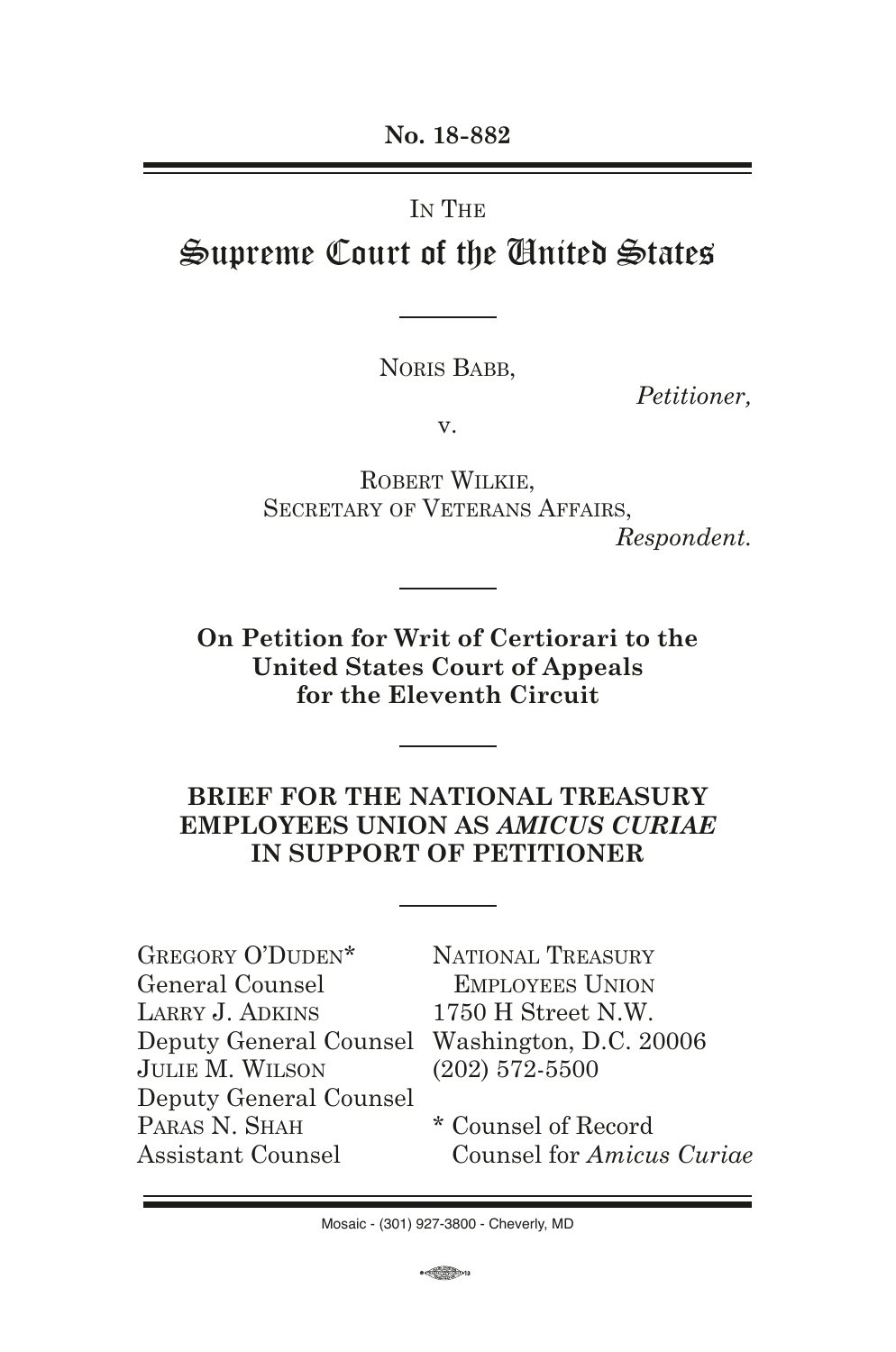**No. 18-882**

# IN THE Supreme Court of the United States

NORIS BABB.

*Petitioner,*

v.

Robert Wilkie, SECRETARY OF VETERANS AFFAIRS, *Respondent.*

**On Petition for Writ of Certiorari to the United States Court of Appeals for the Eleventh Circuit**

## **BRIEF FOR THE NATIONAL TREASURY EMPLOYEES UNION AS** *AMICUS CURIAE* **IN SUPPORT OF PETITIONER**

| GREGORY O'DUDEN*       |  |
|------------------------|--|
| General Counsel        |  |
| LARRY J. ADKINS        |  |
| Deputy General Counsel |  |
| JULIE M. WILSON        |  |
| Deputy General Counsel |  |
| PARAS N. SHAH          |  |
| Assistant Counsel      |  |

NATIONAL TREASURY Employees Union 1750 H Street N.W. Washington, D.C. 20006 (202) 572-5500

\* Counsel of Record Counsel for *Amicus Curiae*

 $\leftarrow$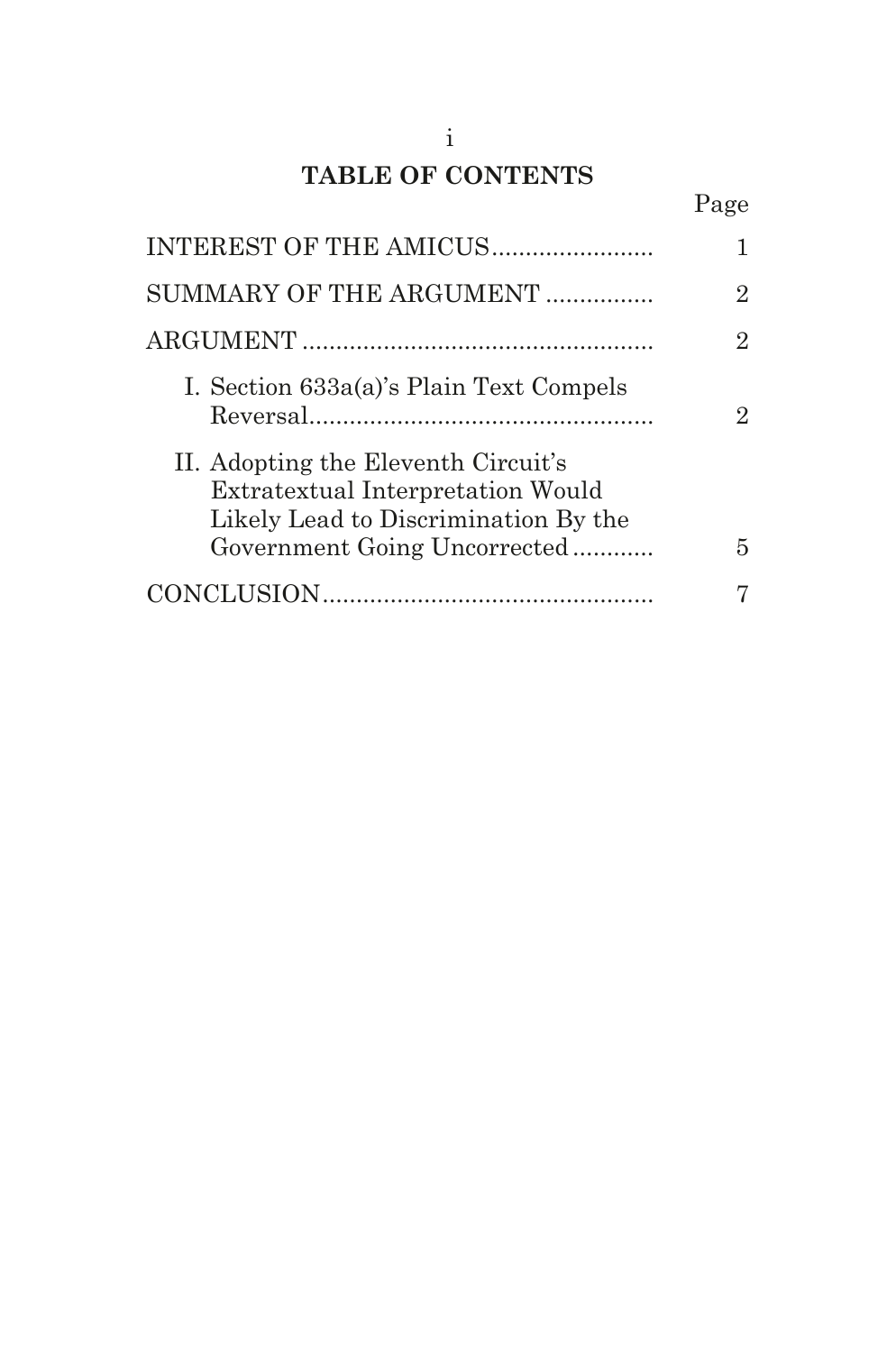## **TABLE OF CONTENTS**

Page

| INTEREST OF THE AMICUS                                                                                                                           |                |
|--------------------------------------------------------------------------------------------------------------------------------------------------|----------------|
| SUMMARY OF THE ARGUMENT                                                                                                                          | 2              |
|                                                                                                                                                  | $\overline{2}$ |
| I. Section 633a(a)'s Plain Text Compels                                                                                                          | 9.             |
| II. Adopting the Eleventh Circuit's<br>Extratextual Interpretation Would<br>Likely Lead to Discrimination By the<br>Government Going Uncorrected | 5              |
|                                                                                                                                                  |                |
|                                                                                                                                                  |                |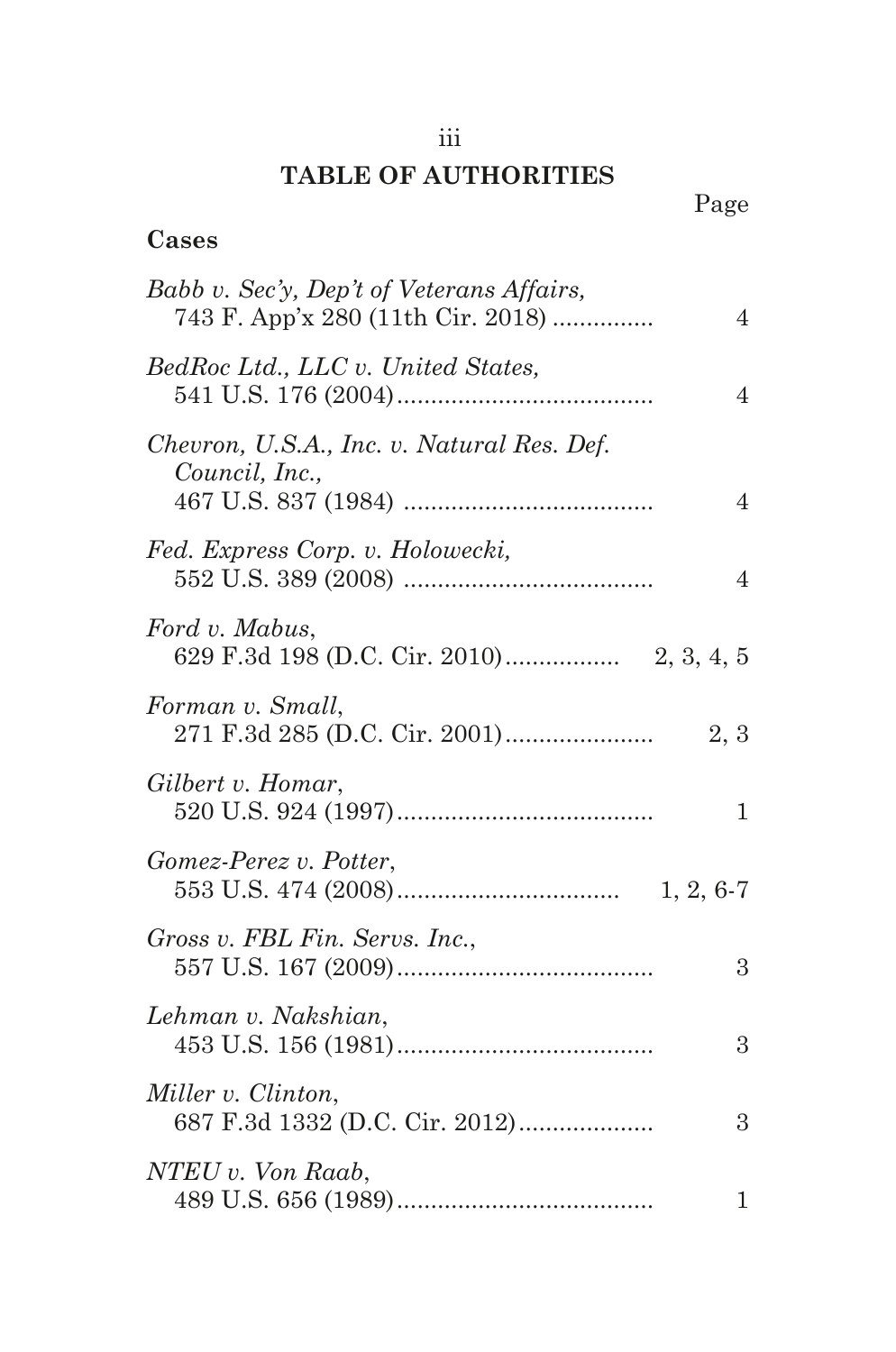## iii

## **TABLE OF AUTHORITIES**

| Cases                                                                                            |
|--------------------------------------------------------------------------------------------------|
| Babb v. Sec'y, Dep't of Veterans Affairs,<br>743 F. App'x 280 (11th Cir. 2018)<br>$\overline{4}$ |
| BedRoc Ltd., LLC v. United States,<br>4                                                          |
| Chevron, U.S.A., Inc. v. Natural Res. Def.<br>Council, Inc.,<br>4                                |
| Fed. Express Corp. v. Holowecki,<br>4                                                            |
| Ford v. Mabus,                                                                                   |
| Forman v. Small,<br>2, 3                                                                         |
| Gilbert v. Homar,<br>$\mathbf 1$                                                                 |
| Gomez-Perez v. Potter,                                                                           |
| Gross v. FBL Fin. Servs. Inc.,<br>3                                                              |
| Lehman v. Nakshian,<br>3                                                                         |
| Miller v. Clinton,<br>687 F.3d 1332 (D.C. Cir. 2012)<br>3                                        |
| NTEU v. Von Raab,<br>$\mathbf{1}$                                                                |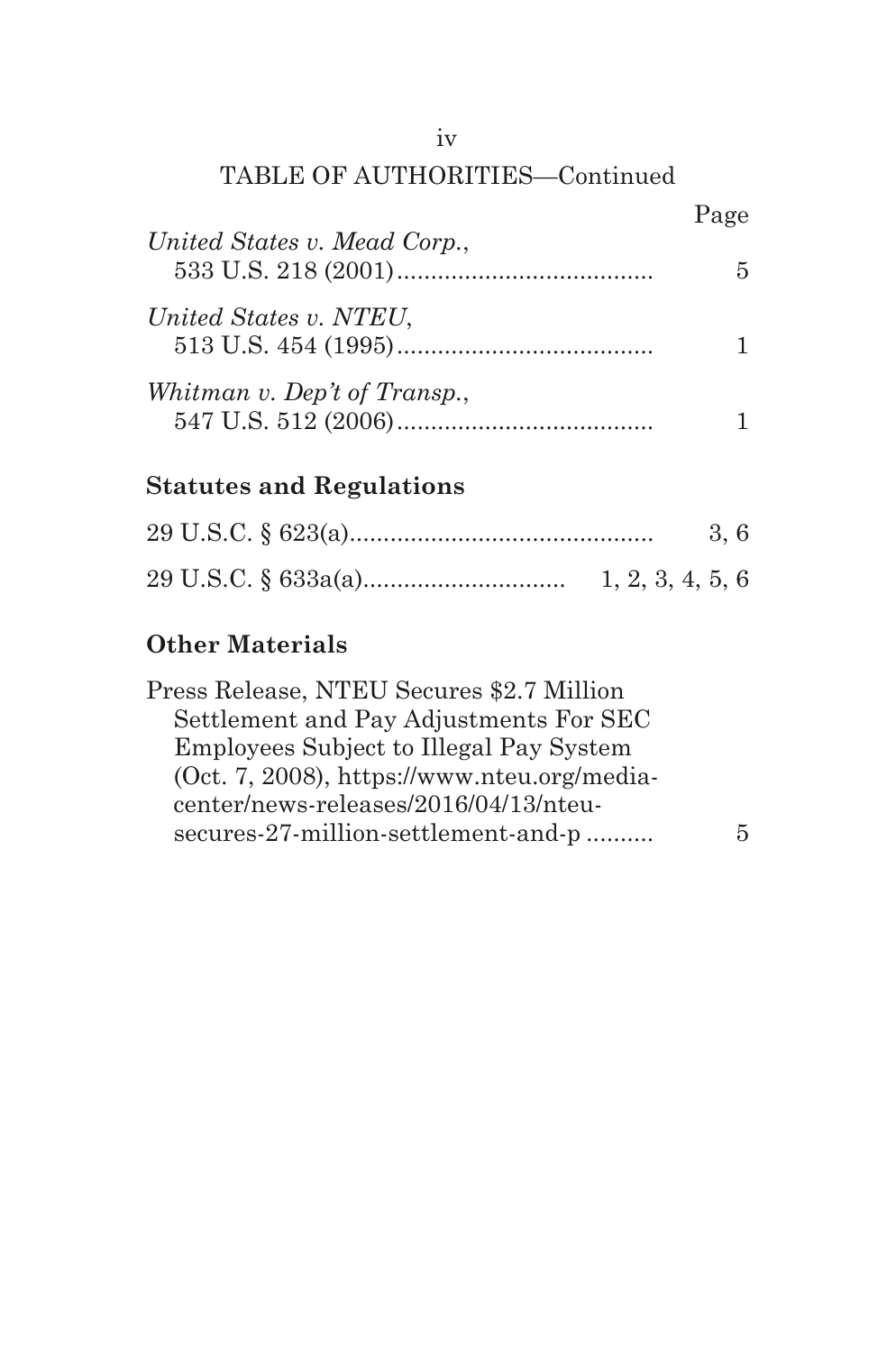## TABLE OF AUTHORITIES—Continued

|                              | Page |
|------------------------------|------|
| United States v. Mead Corp., | 5.   |
| United States v. NTEU,       |      |
| Whitman v. Dep't of Transp., |      |

## **Statutes and Regulations**

|  |  |                  |  | 3,6 |  |
|--|--|------------------|--|-----|--|
|  |  | 1, 2, 3, 4, 5, 6 |  |     |  |

## **Other Materials**

| Press Release, NTEU Secures \$2.7 Million   |   |
|---------------------------------------------|---|
| Settlement and Pay Adjustments For SEC      |   |
| Employees Subject to Illegal Pay System     |   |
| (Oct. 7, 2008), https://www.nteu.org/media- |   |
| center/news-releases/2016/04/13/nteu-       |   |
| secures-27-million-settlement-and-p         | 5 |
|                                             |   |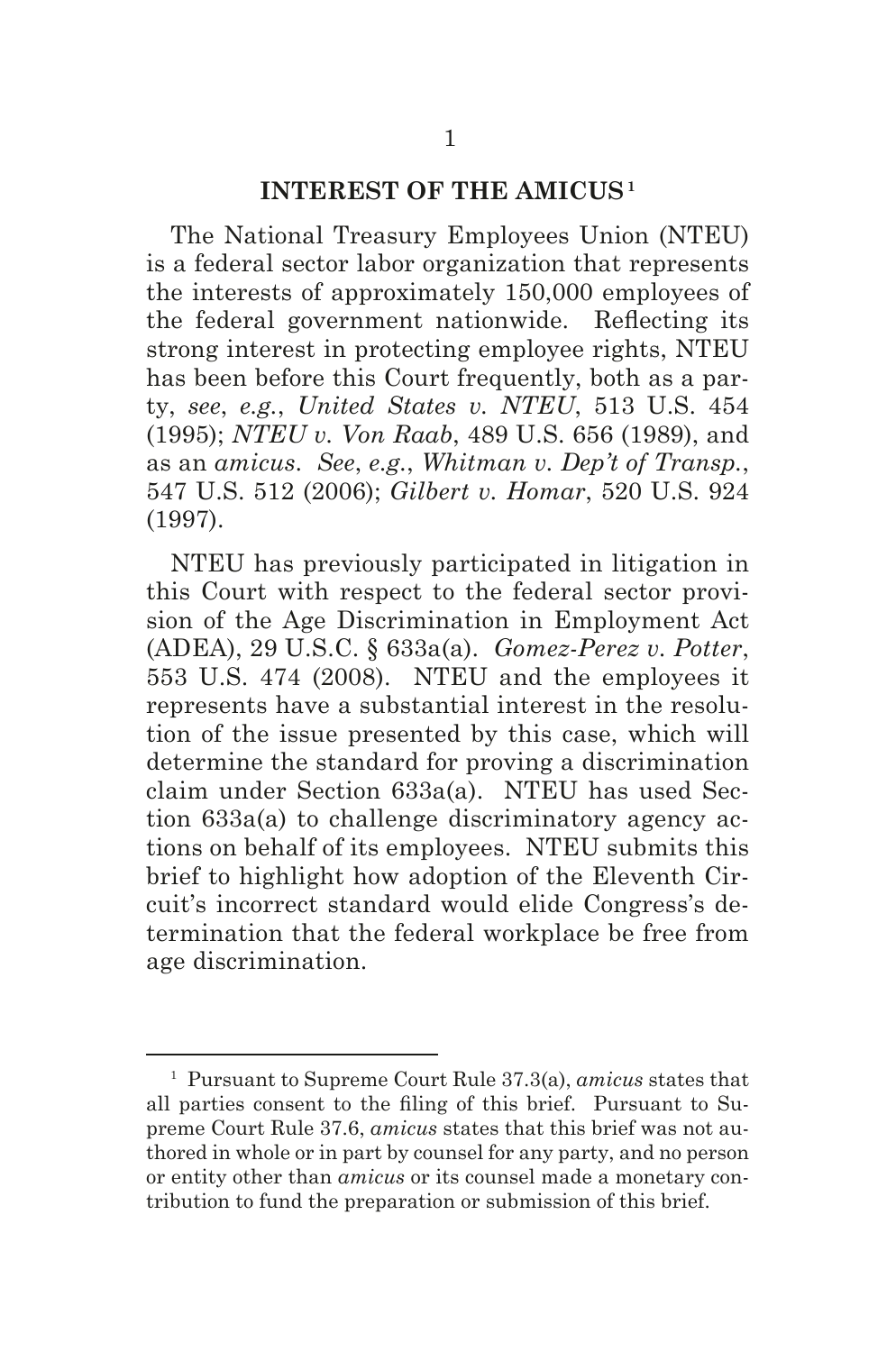#### **INTEREST OF THE AMICUS1**

The National Treasury Employees Union (NTEU) is a federal sector labor organization that represents the interests of approximately 150,000 employees of the federal government nationwide. Refecting its strong interest in protecting employee rights, NTEU has been before this Court frequently, both as a party, *see*, *e.g.*, *United States v. NTEU*, 513 U.S. 454 (1995); *NTEU v. Von Raab*, 489 U.S. 656 (1989), and as an *amicus*. *See*, *e.g.*, *Whitman v. Dep't of Transp.*, 547 U.S. 512 (2006); *Gilbert v. Homar*, 520 U.S. 924 (1997).

NTEU has previously participated in litigation in this Court with respect to the federal sector provision of the Age Discrimination in Employment Act (ADEA), 29 U.S.C. § 633a(a). *Gomez-Perez v. Potter*, 553 U.S. 474 (2008). NTEU and the employees it represents have a substantial interest in the resolution of the issue presented by this case, which will determine the standard for proving a discrimination claim under Section 633a(a). NTEU has used Section 633a(a) to challenge discriminatory agency actions on behalf of its employees. NTEU submits this brief to highlight how adoption of the Eleventh Circuit's incorrect standard would elide Congress's determination that the federal workplace be free from age discrimination.

<sup>1</sup> Pursuant to Supreme Court Rule 37.3(a), *amicus* states that all parties consent to the fling of this brief. Pursuant to Supreme Court Rule 37.6, *amicus* states that this brief was not authored in whole or in part by counsel for any party, and no person or entity other than *amicus* or its counsel made a monetary contribution to fund the preparation or submission of this brief.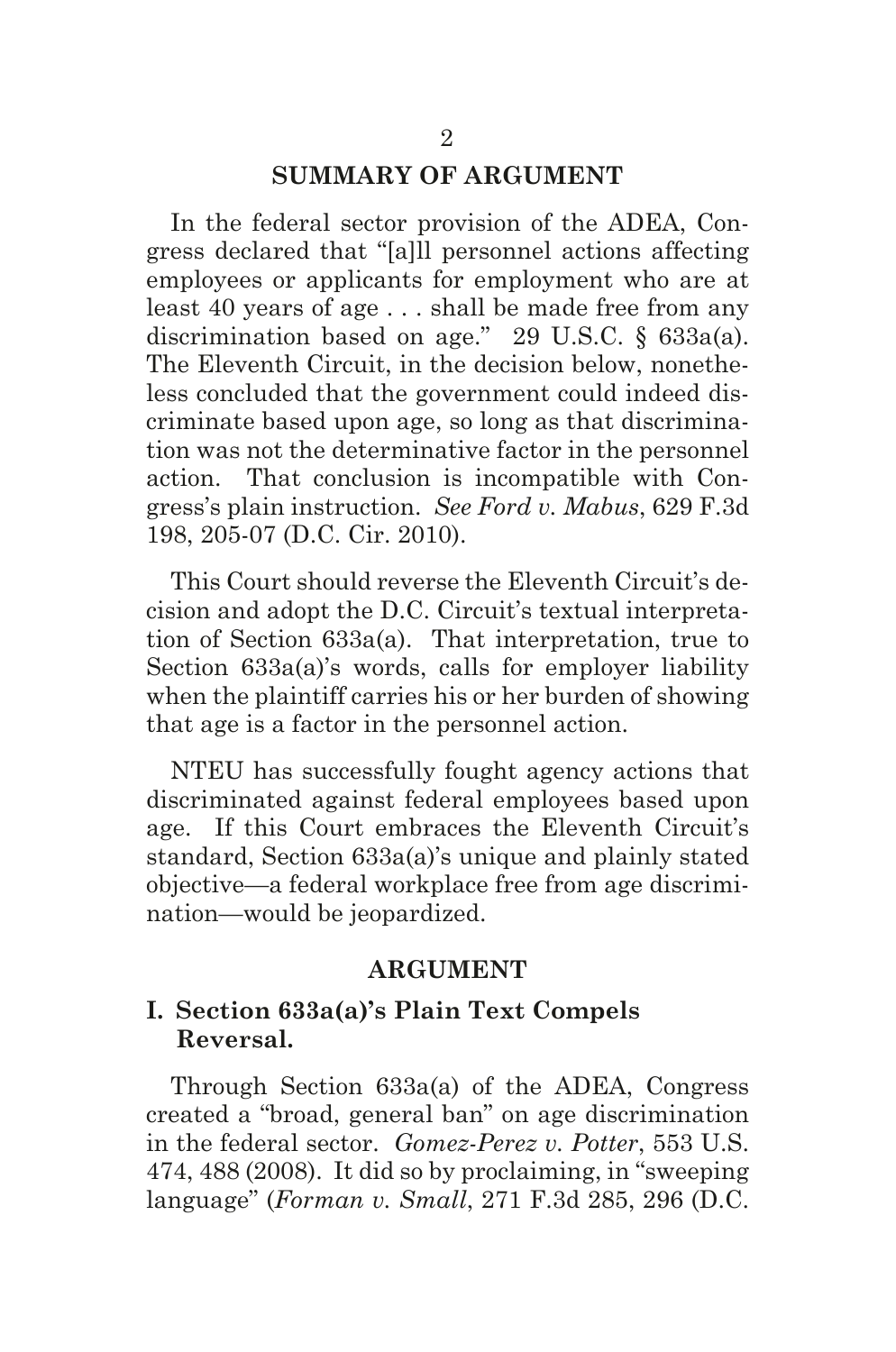#### **SUMMARY OF ARGUMENT**

In the federal sector provision of the ADEA, Congress declared that "[a]ll personnel actions affecting employees or applicants for employment who are at least 40 years of age . . . shall be made free from any discrimination based on age." 29 U.S.C. § 633a(a). The Eleventh Circuit, in the decision below, nonetheless concluded that the government could indeed discriminate based upon age, so long as that discrimination was not the determinative factor in the personnel action. That conclusion is incompatible with Congress's plain instruction. *See Ford v. Mabus*, 629 F.3d 198, 205-07 (D.C. Cir. 2010).

This Court should reverse the Eleventh Circuit's decision and adopt the D.C. Circuit's textual interpretation of Section 633a(a). That interpretation, true to Section 633a(a)'s words, calls for employer liability when the plaintiff carries his or her burden of showing that age is a factor in the personnel action.

NTEU has successfully fought agency actions that discriminated against federal employees based upon age. If this Court embraces the Eleventh Circuit's standard, Section 633a(a)'s unique and plainly stated objective—a federal workplace free from age discrimination—would be jeopardized.

#### **ARGUMENT**

### **I. Section 633a(a)'s Plain Text Compels Reversal.**

Through Section 633a(a) of the ADEA, Congress created a "broad, general ban" on age discrimination in the federal sector. *Gomez-Perez v. Potter*, 553 U.S. 474, 488 (2008). It did so by proclaiming, in "sweeping language" (*Forman v. Small*, 271 F.3d 285, 296 (D.C.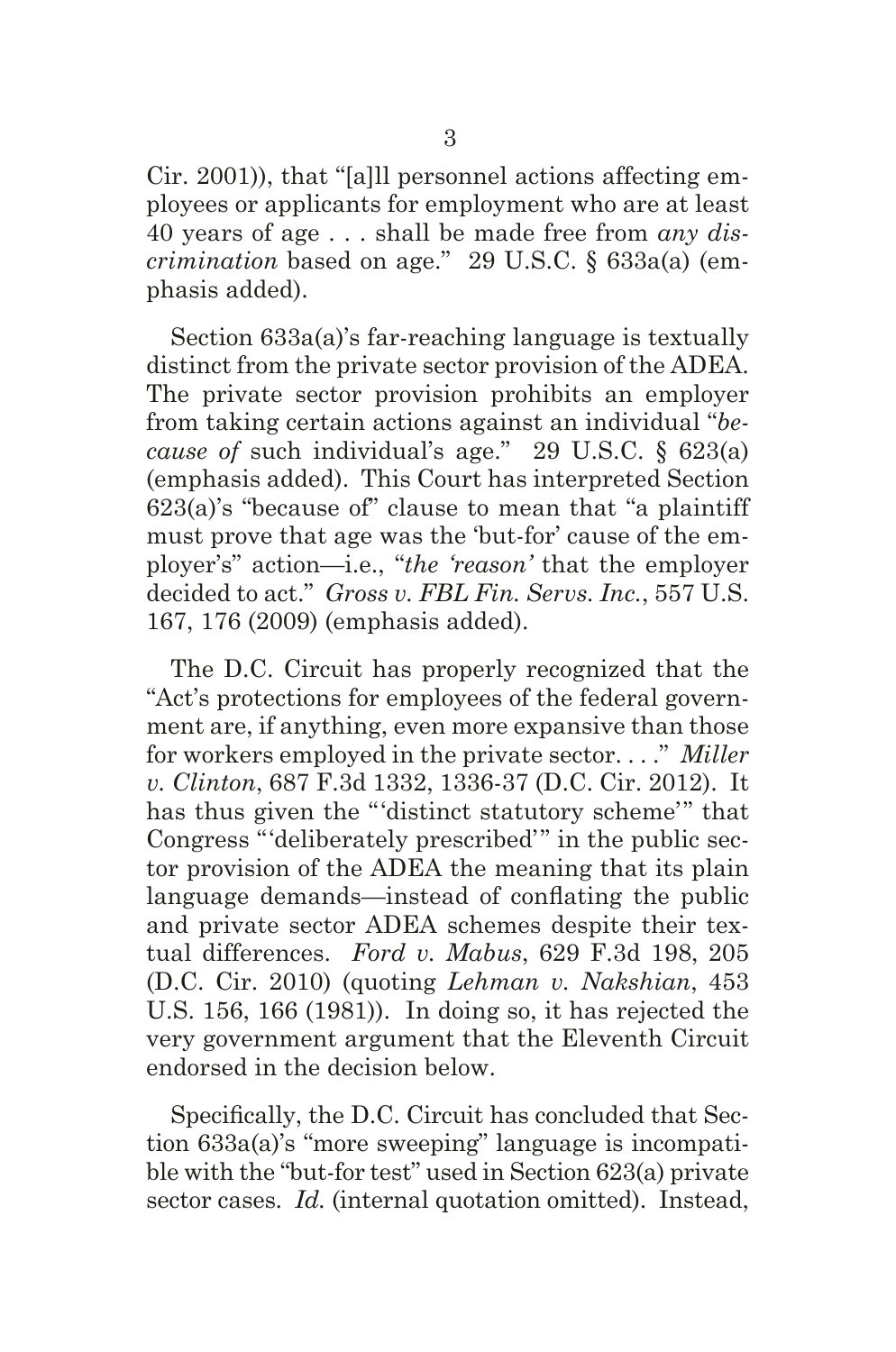Cir. 2001)), that "[a]ll personnel actions affecting employees or applicants for employment who are at least 40 years of age . . . shall be made free from *any discrimination* based on age." 29 U.S.C. § 633a(a) (emphasis added).

Section 633a(a)'s far-reaching language is textually distinct from the private sector provision of the ADEA. The private sector provision prohibits an employer from taking certain actions against an individual "*because of* such individual's age." 29 U.S.C. § 623(a) (emphasis added). This Court has interpreted Section 623(a)'s "because of" clause to mean that "a plaintiff must prove that age was the 'but-for' cause of the employer's" action—i.e., "*the 'reason'* that the employer decided to act." *Gross v. FBL Fin. Servs. Inc.*, 557 U.S. 167, 176 (2009) (emphasis added).

The D.C. Circuit has properly recognized that the "Act's protections for employees of the federal government are, if anything, even more expansive than those for workers employed in the private sector. . . ." *Miller v. Clinton*, 687 F.3d 1332, 1336-37 (D.C. Cir. 2012). It has thus given the "'distinct statutory scheme'" that Congress "'deliberately prescribed'" in the public sector provision of the ADEA the meaning that its plain language demands—instead of confating the public and private sector ADEA schemes despite their textual differences. *Ford v. Mabus*, 629 F.3d 198, 205 (D.C. Cir. 2010) (quoting *Lehman v. Nakshian*, 453 U.S. 156, 166 (1981)). In doing so, it has rejected the very government argument that the Eleventh Circuit endorsed in the decision below.

Specifcally, the D.C. Circuit has concluded that Section 633a(a)'s "more sweeping" language is incompatible with the "but-for test" used in Section 623(a) private sector cases. *Id.* (internal quotation omitted). Instead,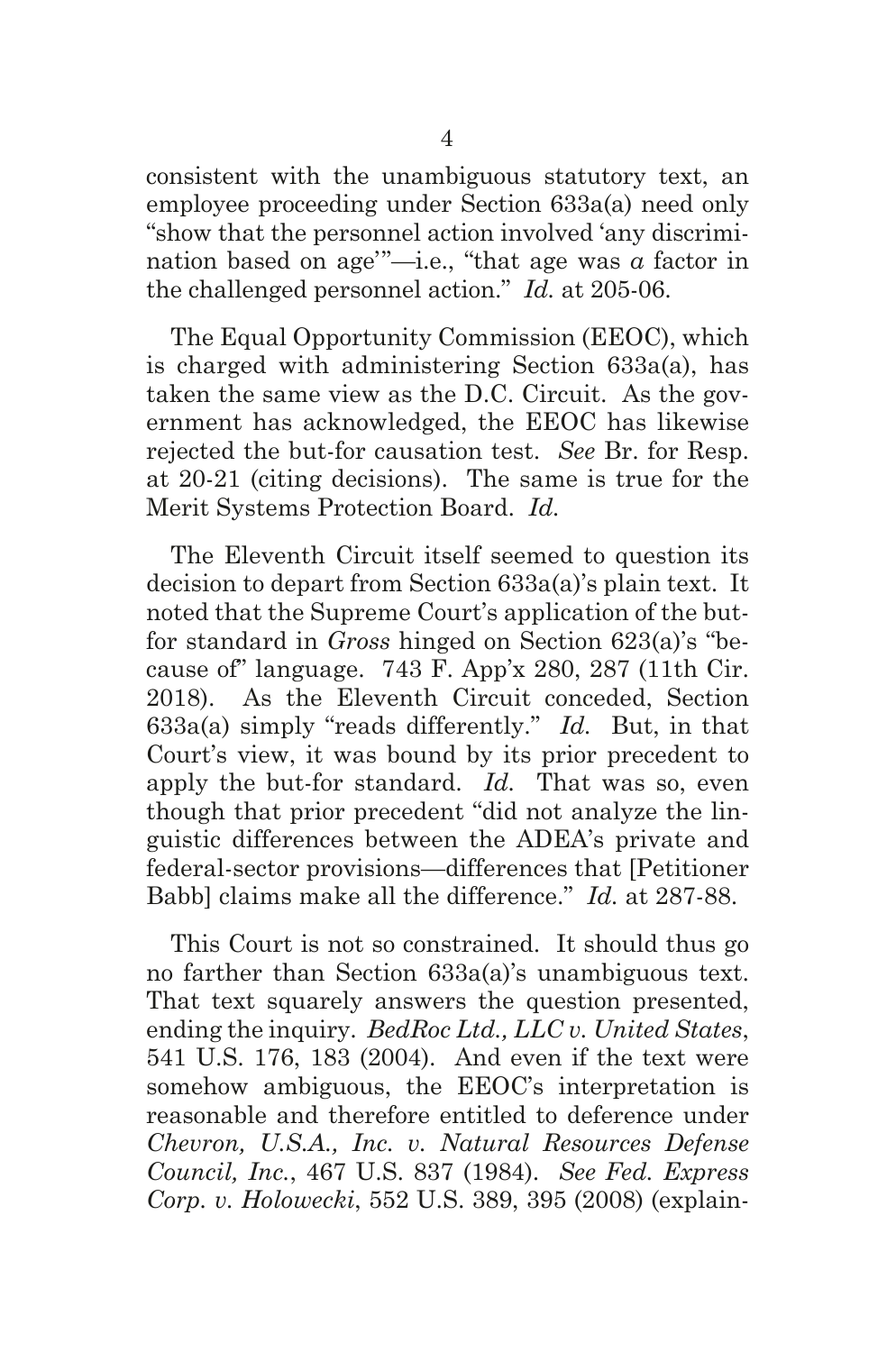consistent with the unambiguous statutory text, an employee proceeding under Section 633a(a) need only "show that the personnel action involved 'any discrimination based on age'"—i.e., "that age was *a* factor in the challenged personnel action." *Id.* at 205-06.

The Equal Opportunity Commission (EEOC), which is charged with administering Section 633a(a), has taken the same view as the D.C. Circuit. As the government has acknowledged, the EEOC has likewise rejected the but-for causation test. *See* Br. for Resp. at 20-21 (citing decisions). The same is true for the Merit Systems Protection Board. *Id.*

The Eleventh Circuit itself seemed to question its decision to depart from Section 633a(a)'s plain text. It noted that the Supreme Court's application of the butfor standard in *Gross* hinged on Section 623(a)'s "because of" language. 743 F. App'x 280, 287 (11th Cir. 2018). As the Eleventh Circuit conceded, Section 633a(a) simply "reads differently." *Id.* But, in that Court's view, it was bound by its prior precedent to apply the but-for standard. *Id.* That was so, even though that prior precedent "did not analyze the linguistic differences between the ADEA's private and federal-sector provisions—differences that [Petitioner Babb] claims make all the difference." *Id.* at 287-88.

This Court is not so constrained. It should thus go no farther than Section 633a(a)'s unambiguous text. That text squarely answers the question presented, ending the inquiry. *BedRoc Ltd., LLC v. United States*, 541 U.S. 176, 183 (2004). And even if the text were somehow ambiguous, the EEOC's interpretation is reasonable and therefore entitled to deference under *Chevron, U.S.A., Inc. v. Natural Resources Defense Council, Inc.*, 467 U.S. 837 (1984). *See Fed. Express Corp. v. Holowecki*, 552 U.S. 389, 395 (2008) (explain-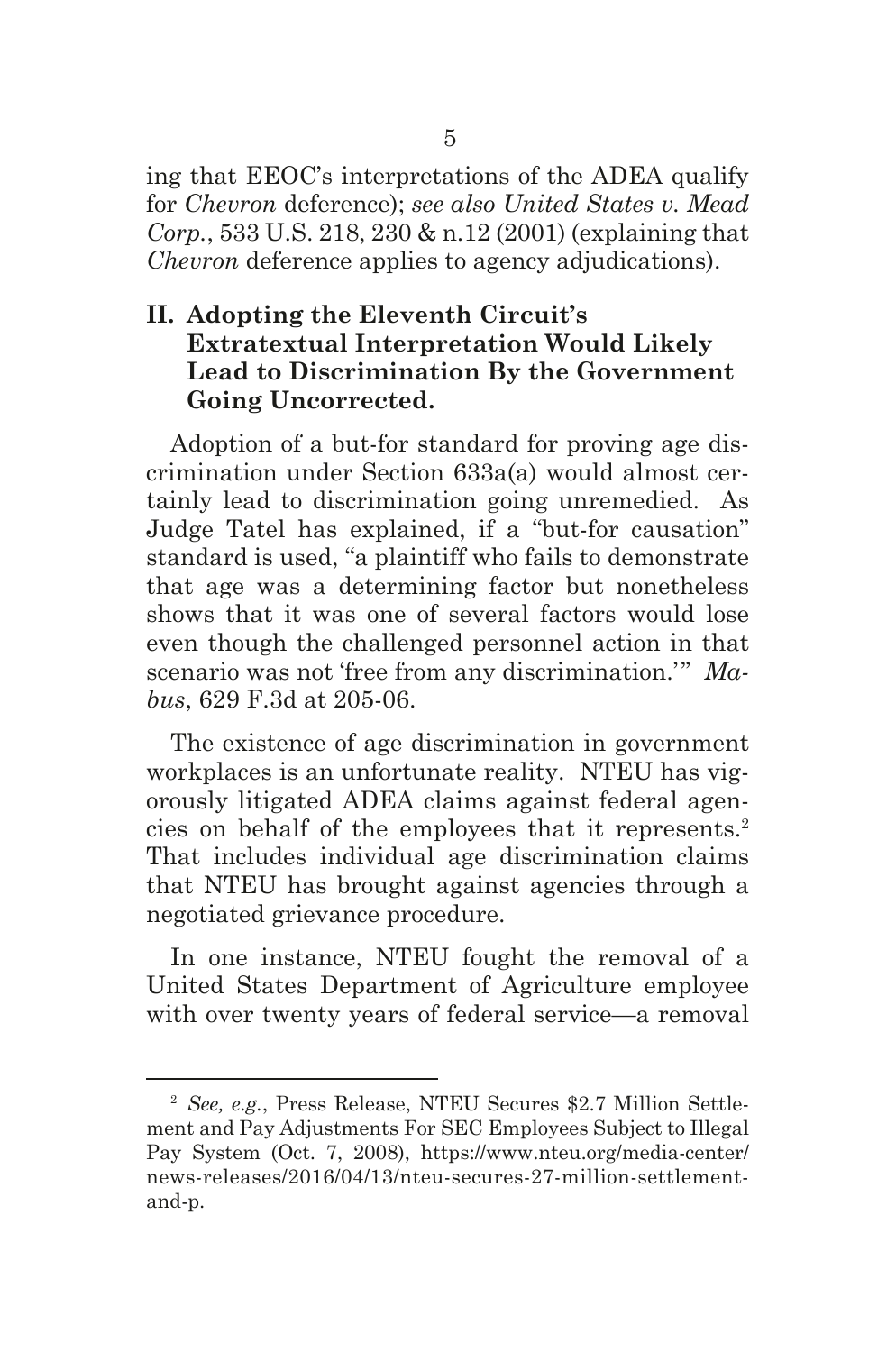ing that EEOC's interpretations of the ADEA qualify for *Chevron* deference); *see also United States v. Mead Corp.*, 533 U.S. 218, 230 & n.12 (2001) (explaining that *Chevron* deference applies to agency adjudications).

### **II. Adopting the Eleventh Circuit's Extratextual Interpretation Would Likely Lead to Discrimination By the Government Going Uncorrected.**

Adoption of a but-for standard for proving age discrimination under Section 633a(a) would almost certainly lead to discrimination going unremedied. As Judge Tatel has explained, if a "but-for causation" standard is used, "a plaintiff who fails to demonstrate that age was a determining factor but nonetheless shows that it was one of several factors would lose even though the challenged personnel action in that scenario was not 'free from any discrimination.'" *Mabus*, 629 F.3d at 205-06.

The existence of age discrimination in government workplaces is an unfortunate reality. NTEU has vigorously litigated ADEA claims against federal agencies on behalf of the employees that it represents.2 That includes individual age discrimination claims that NTEU has brought against agencies through a negotiated grievance procedure.

In one instance, NTEU fought the removal of a United States Department of Agriculture employee with over twenty years of federal service—a removal

<sup>2</sup> *See, e.g.*, Press Release, NTEU Secures \$2.7 Million Settlement and Pay Adjustments For SEC Employees Subject to Illegal Pay System (Oct. 7, 2008), https://www.nteu.org/media-center/ news-releases/2016/04/13/nteu-secures-27-million-settlementand-p.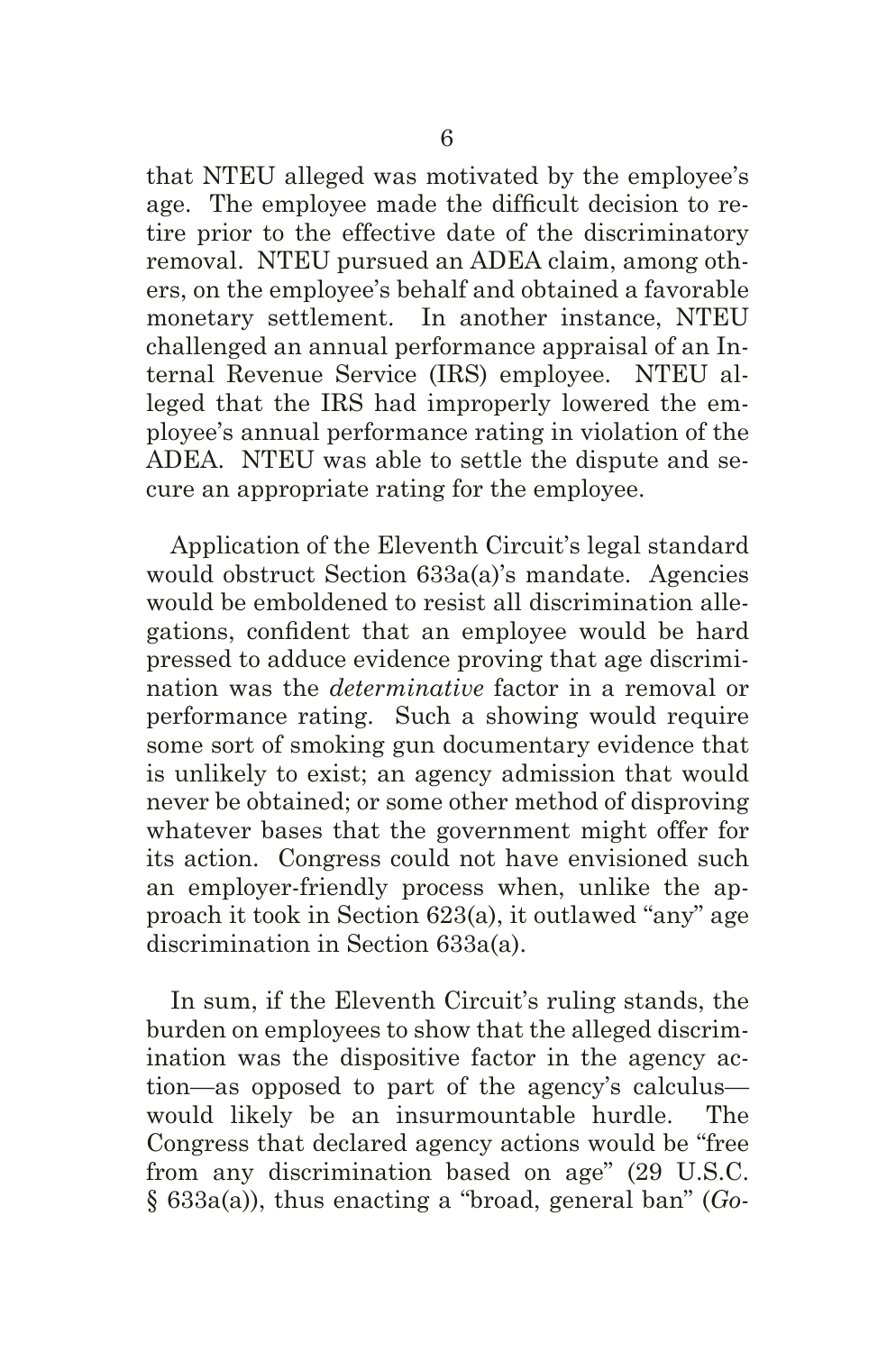that NTEU alleged was motivated by the employee's age. The employee made the diffcult decision to retire prior to the effective date of the discriminatory removal. NTEU pursued an ADEA claim, among others, on the employee's behalf and obtained a favorable monetary settlement. In another instance, NTEU challenged an annual performance appraisal of an Internal Revenue Service (IRS) employee. NTEU alleged that the IRS had improperly lowered the employee's annual performance rating in violation of the ADEA. NTEU was able to settle the dispute and secure an appropriate rating for the employee.

Application of the Eleventh Circuit's legal standard would obstruct Section 633a(a)'s mandate. Agencies would be emboldened to resist all discrimination allegations, confdent that an employee would be hard pressed to adduce evidence proving that age discrimination was the *determinative* factor in a removal or performance rating. Such a showing would require some sort of smoking gun documentary evidence that is unlikely to exist; an agency admission that would never be obtained; or some other method of disproving whatever bases that the government might offer for its action. Congress could not have envisioned such an employer-friendly process when, unlike the approach it took in Section 623(a), it outlawed "any" age discrimination in Section 633a(a).

In sum, if the Eleventh Circuit's ruling stands, the burden on employees to show that the alleged discrimination was the dispositive factor in the agency action—as opposed to part of the agency's calculus would likely be an insurmountable hurdle. The Congress that declared agency actions would be "free from any discrimination based on age" (29 U.S.C. § 633a(a)), thus enacting a "broad, general ban" (*Go-*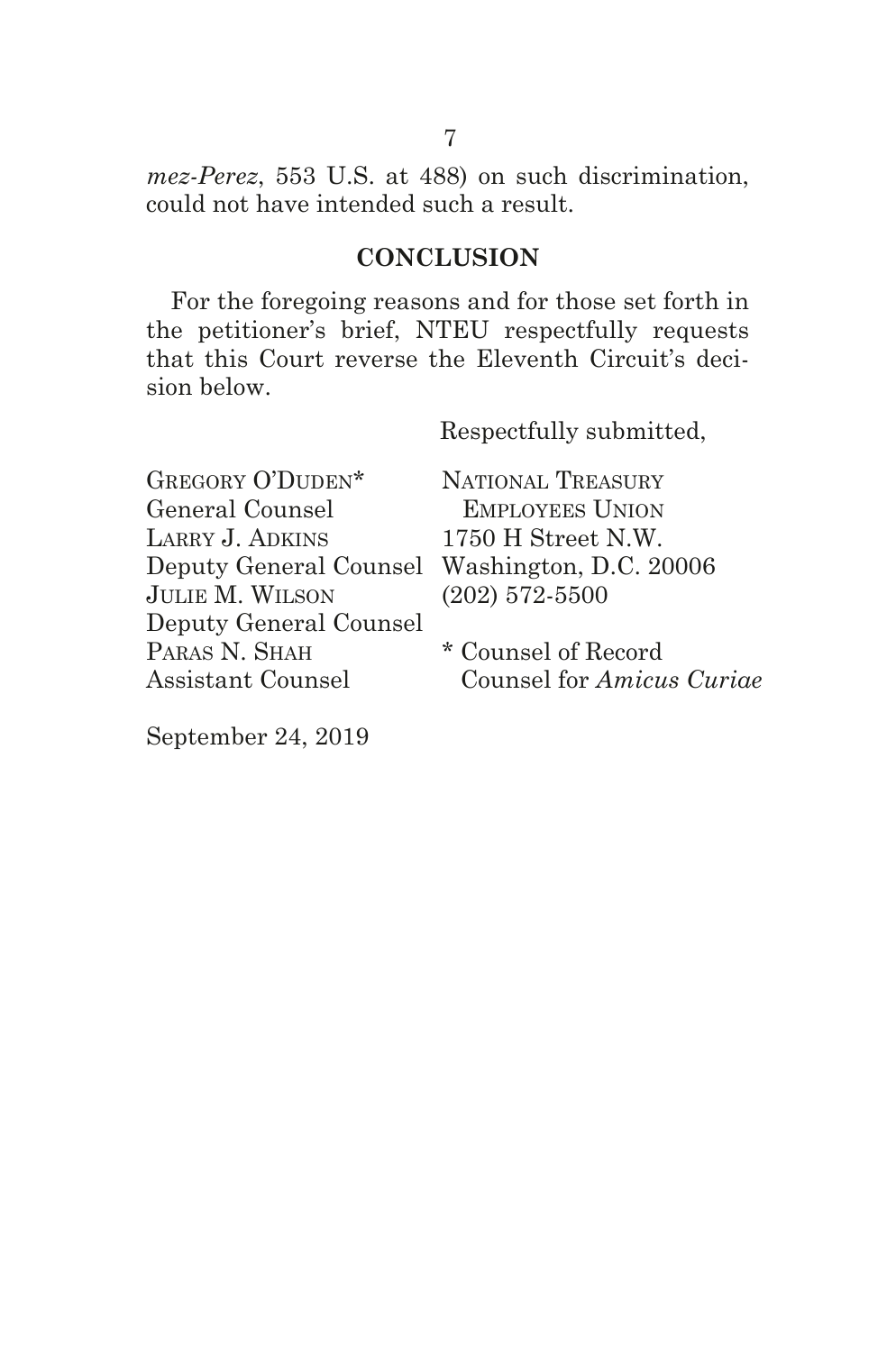*mez-Perez*, 553 U.S. at 488) on such discrimination, could not have intended such a result.

### **CONCLUSION**

For the foregoing reasons and for those set forth in the petitioner's brief, NTEU respectfully requests that this Court reverse the Eleventh Circuit's decision below.

Respectfully submitted,

GREGORY O'DUDEN\* General Counsel LARRY J. ADKINS Deputy General Counsel Washington, D.C. 20006 JulIe M. WIlson Deputy General Counsel PARAS N. SHAH Assistant Counsel

NATIONAL TREASURY Employees UnIon 1750 H Street N.W. (202) 572-5500

\* Counsel of Record Counsel for *Amicus Curiae*

September 24, 2019